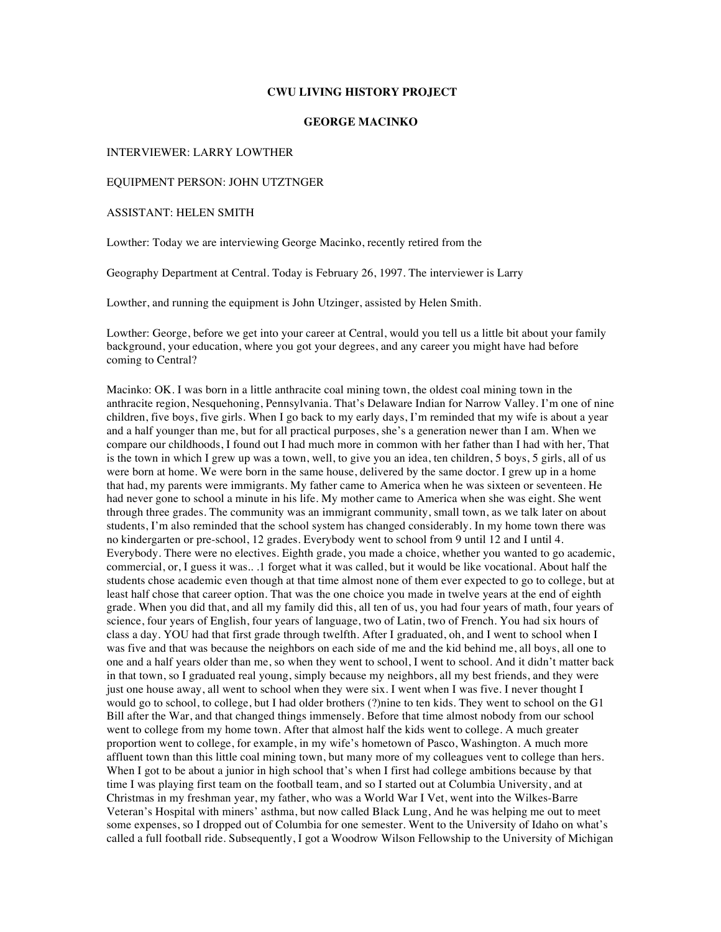#### **CWU LIVING HISTORY PROJECT**

# **GEORGE MACINKO**

#### INTERVIEWER: LARRY LOWTHER

# EQUIPMENT PERSON: JOHN UTZTNGER

### ASSISTANT: HELEN SMITH

Lowther: Today we are interviewing George Macinko, recently retired from the

Geography Department at Central. Today is February 26, 1997. The interviewer is Larry

Lowther, and running the equipment is John Utzinger, assisted by Helen Smith.

Lowther: George, before we get into your career at Central, would you tell us a little bit about your family background, your education, where you got your degrees, and any career you might have had before coming to Central?

Macinko: OK. I was born in a little anthracite coal mining town, the oldest coal mining town in the anthracite region, Nesquehoning, Pennsylvania. That's Delaware Indian for Narrow Valley. I'm one of nine children, five boys, five girls. When I go back to my early days, I'm reminded that my wife is about a year and a half younger than me, but for all practical purposes, she's a generation newer than I am. When we compare our childhoods, I found out I had much more in common with her father than I had with her, That is the town in which I grew up was a town, well, to give you an idea, ten children, 5 boys, 5 girls, all of us were born at home. We were born in the same house, delivered by the same doctor. I grew up in a home that had, my parents were immigrants. My father came to America when he was sixteen or seventeen. He had never gone to school a minute in his life. My mother came to America when she was eight. She went through three grades. The community was an immigrant community, small town, as we talk later on about students, I'm also reminded that the school system has changed considerably. In my home town there was no kindergarten or pre-school, 12 grades. Everybody went to school from 9 until 12 and I until 4. Everybody. There were no electives. Eighth grade, you made a choice, whether you wanted to go academic, commercial, or, I guess it was.. .1 forget what it was called, but it would be like vocational. About half the students chose academic even though at that time almost none of them ever expected to go to college, but at least half chose that career option. That was the one choice you made in twelve years at the end of eighth grade. When you did that, and all my family did this, all ten of us, you had four years of math, four years of science, four years of English, four years of language, two of Latin, two of French. You had six hours of class a day. YOU had that first grade through twelfth. After I graduated, oh, and I went to school when I was five and that was because the neighbors on each side of me and the kid behind me, all boys, all one to one and a half years older than me, so when they went to school, I went to school. And it didn't matter back in that town, so I graduated real young, simply because my neighbors, all my best friends, and they were just one house away, all went to school when they were six. I went when I was five. I never thought I would go to school, to college, but I had older brothers (?)nine to ten kids. They went to school on the G1 Bill after the War, and that changed things immensely. Before that time almost nobody from our school went to college from my home town. After that almost half the kids went to college. A much greater proportion went to college, for example, in my wife's hometown of Pasco, Washington. A much more affluent town than this little coal mining town, but many more of my colleagues vent to college than hers. When I got to be about a junior in high school that's when I first had college ambitions because by that time I was playing first team on the football team, and so I started out at Columbia University, and at Christmas in my freshman year, my father, who was a World War I Vet, went into the Wilkes-Barre Veteran's Hospital with miners' asthma, but now called Black Lung, And he was helping me out to meet some expenses, so I dropped out of Columbia for one semester. Went to the University of Idaho on what's called a full football ride. Subsequently, I got a Woodrow Wilson Fellowship to the University of Michigan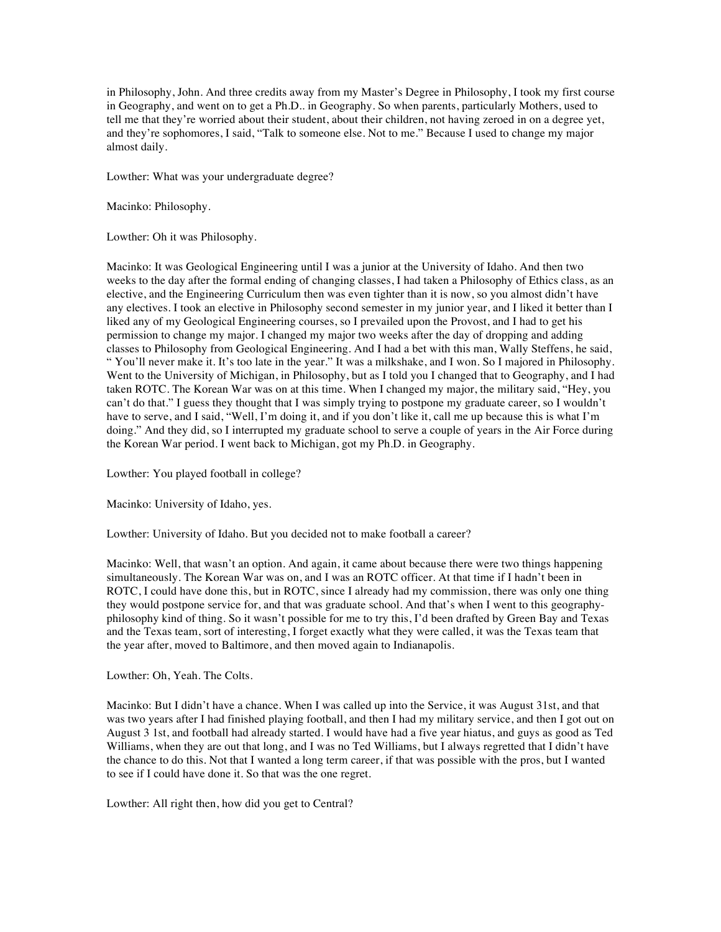in Philosophy, John. And three credits away from my Master's Degree in Philosophy, I took my first course in Geography, and went on to get a Ph.D.. in Geography. So when parents, particularly Mothers, used to tell me that they're worried about their student, about their children, not having zeroed in on a degree yet, and they're sophomores, I said, "Talk to someone else. Not to me." Because I used to change my major almost daily.

Lowther: What was your undergraduate degree?

Macinko: Philosophy.

Lowther: Oh it was Philosophy.

Macinko: It was Geological Engineering until I was a junior at the University of Idaho. And then two weeks to the day after the formal ending of changing classes, I had taken a Philosophy of Ethics class, as an elective, and the Engineering Curriculum then was even tighter than it is now, so you almost didn't have any electives. I took an elective in Philosophy second semester in my junior year, and I liked it better than I liked any of my Geological Engineering courses, so I prevailed upon the Provost, and I had to get his permission to change my major. I changed my major two weeks after the day of dropping and adding classes to Philosophy from Geological Engineering. And I had a bet with this man, Wally Steffens, he said, " You'll never make it. It's too late in the year." It was a milkshake, and I won. So I majored in Philosophy. Went to the University of Michigan, in Philosophy, but as I told you I changed that to Geography, and I had taken ROTC. The Korean War was on at this time. When I changed my major, the military said, "Hey, you can't do that." I guess they thought that I was simply trying to postpone my graduate career, so I wouldn't have to serve, and I said, "Well, I'm doing it, and if you don't like it, call me up because this is what I'm doing." And they did, so I interrupted my graduate school to serve a couple of years in the Air Force during the Korean War period. I went back to Michigan, got my Ph.D. in Geography.

Lowther: You played football in college?

Macinko: University of Idaho, yes.

Lowther: University of Idaho. But you decided not to make football a career?

Macinko: Well, that wasn't an option. And again, it came about because there were two things happening simultaneously. The Korean War was on, and I was an ROTC officer. At that time if I hadn't been in ROTC, I could have done this, but in ROTC, since I already had my commission, there was only one thing they would postpone service for, and that was graduate school. And that's when I went to this geographyphilosophy kind of thing. So it wasn't possible for me to try this, I'd been drafted by Green Bay and Texas and the Texas team, sort of interesting, I forget exactly what they were called, it was the Texas team that the year after, moved to Baltimore, and then moved again to Indianapolis.

Lowther: Oh, Yeah. The Colts.

Macinko: But I didn't have a chance. When I was called up into the Service, it was August 31st, and that was two years after I had finished playing football, and then I had my military service, and then I got out on August 3 1st, and football had already started. I would have had a five year hiatus, and guys as good as Ted Williams, when they are out that long, and I was no Ted Williams, but I always regretted that I didn't have the chance to do this. Not that I wanted a long term career, if that was possible with the pros, but I wanted to see if I could have done it. So that was the one regret.

Lowther: All right then, how did you get to Central?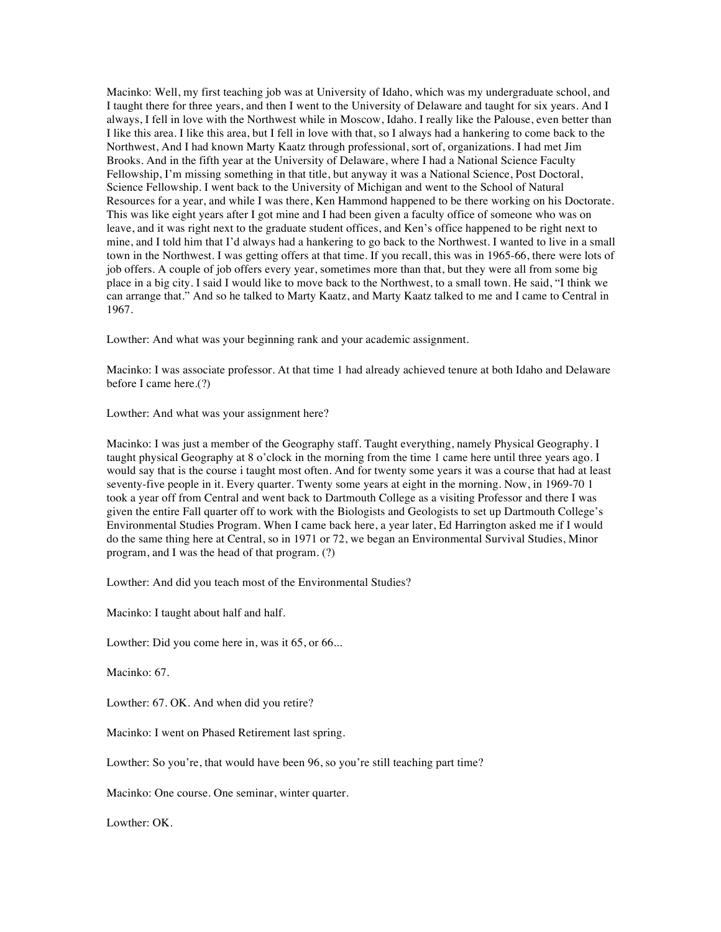Macinko: Well, my first teaching job was at University of Idaho, which was my undergraduate school, and I taught there for three years, and then I went to the University of Delaware and taught for six years. And I always, I fell in love with the Northwest while in Moscow, Idaho. I really like the Palouse, even better than I like this area. I like this area, but I fell in love with that, so I always had a hankering to come back to the Northwest, And I had known Marty Kaatz through professional, sort of, organizations. I had met Jim Brooks. And in the fifth year at the University of Delaware, where I had a National Science Faculty Fellowship, I'm missing something in that title, but anyway it was a National Science, Post Doctoral, Science Fellowship. I went back to the University of Michigan and went to the School of Natural Resources for a year, and while I was there, Ken Hammond happened to be there working on his Doctorate. This was like eight years after I got mine and I had been given a faculty office of someone who was on leave, and it was right next to the graduate student offices, and Ken's office happened to be right next to mine, and I told him that I'd always had a hankering to go back to the Northwest. I wanted to live in a small town in the Northwest. I was getting offers at that time. If you recall, this was in 1965-66, there were lots of job offers. A couple of job offers every year, sometimes more than that, but they were all from some big place in a big city. I said I would like to move back to the Northwest, to a small town. He said, "I think we can arrange that." And so he talked to Marty Kaatz, and Marty Kaatz talked to me and I came to Central in 1967.

Lowther: And what was your beginning rank and your academic assignment.

Macinko: I was associate professor. At that time 1 had already achieved tenure at both Idaho and Delaware before I came here.(?)

Lowther: And what was your assignment here?

Macinko: I was just a member of the Geography staff. Taught everything, namely Physical Geography. I taught physical Geography at 8 o'clock in the morning from the time 1 came here until three years ago. I would say that is the course i taught most often. And for twenty some years it was a course that had at least seventy-five people in it. Every quarter. Twenty some years at eight in the morning. Now, in 1969-70 1 took a year off from Central and went back to Dartmouth College as a visiting Professor and there I was given the entire Fall quarter off to work with the Biologists and Geologists to set up Dartmouth College's Environmental Studies Program. When I came back here, a year later, Ed Harrington asked me if I would do the same thing here at Central, so in 1971 or 72, we began an Environmental Survival Studies, Minor program, and I was the head of that program. (?)

Lowther: And did you teach most of the Environmental Studies?

Macinko: I taught about half and half.

Lowther: Did you come here in, was it 65, or 66...

Macinko: 67.

Lowther: 67. OK. And when did you retire?

Macinko: I went on Phased Retirement last spring.

Lowther: So you're, that would have been 96, so you're still teaching part time?

Macinko: One course. One seminar, winter quarter.

Lowther: OK.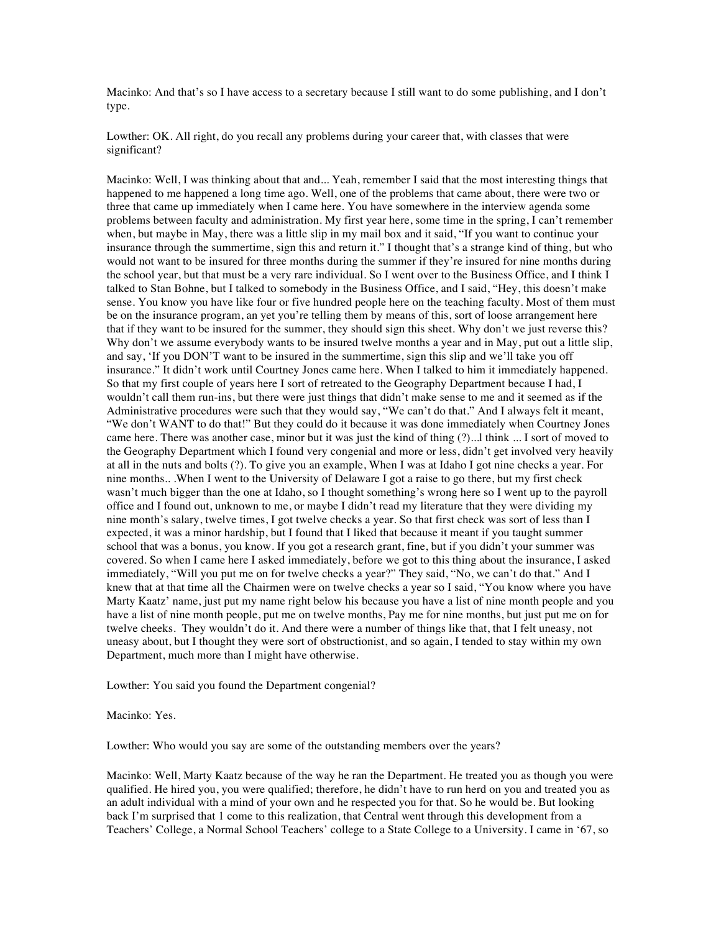Macinko: And that's so I have access to a secretary because I still want to do some publishing, and I don't type.

Lowther: OK. All right, do you recall any problems during your career that, with classes that were significant?

Macinko: Well, I was thinking about that and... Yeah, remember I said that the most interesting things that happened to me happened a long time ago. Well, one of the problems that came about, there were two or three that came up immediately when I came here. You have somewhere in the interview agenda some problems between faculty and administration. My first year here, some time in the spring, I can't remember when, but maybe in May, there was a little slip in my mail box and it said, "If you want to continue your insurance through the summertime, sign this and return it." I thought that's a strange kind of thing, but who would not want to be insured for three months during the summer if they're insured for nine months during the school year, but that must be a very rare individual. So I went over to the Business Office, and I think I talked to Stan Bohne, but I talked to somebody in the Business Office, and I said, "Hey, this doesn't make sense. You know you have like four or five hundred people here on the teaching faculty. Most of them must be on the insurance program, an yet you're telling them by means of this, sort of loose arrangement here that if they want to be insured for the summer, they should sign this sheet. Why don't we just reverse this? Why don't we assume everybody wants to be insured twelve months a year and in May, put out a little slip, and say, 'If you DON'T want to be insured in the summertime, sign this slip and we'll take you off insurance." It didn't work until Courtney Jones came here. When I talked to him it immediately happened. So that my first couple of years here I sort of retreated to the Geography Department because I had, I wouldn't call them run-ins, but there were just things that didn't make sense to me and it seemed as if the Administrative procedures were such that they would say, "We can't do that." And I always felt it meant, "We don't WANT to do that!" But they could do it because it was done immediately when Courtney Jones came here. There was another case, minor but it was just the kind of thing (?)...l think ... I sort of moved to the Geography Department which I found very congenial and more or less, didn't get involved very heavily at all in the nuts and bolts (?). To give you an example, When I was at Idaho I got nine checks a year. For nine months.. .When I went to the University of Delaware I got a raise to go there, but my first check wasn't much bigger than the one at Idaho, so I thought something's wrong here so I went up to the payroll office and I found out, unknown to me, or maybe I didn't read my literature that they were dividing my nine month's salary, twelve times, I got twelve checks a year. So that first check was sort of less than I expected, it was a minor hardship, but I found that I liked that because it meant if you taught summer school that was a bonus, you know. If you got a research grant, fine, but if you didn't your summer was covered. So when I came here I asked immediately, before we got to this thing about the insurance, I asked immediately, "Will you put me on for twelve checks a year?" They said, "No, we can't do that." And I knew that at that time all the Chairmen were on twelve checks a year so I said, "You know where you have Marty Kaatz' name, just put my name right below his because you have a list of nine month people and you have a list of nine month people, put me on twelve months, Pay me for nine months, but just put me on for twelve cheeks. They wouldn't do it. And there were a number of things like that, that I felt uneasy, not uneasy about, but I thought they were sort of obstructionist, and so again, I tended to stay within my own Department, much more than I might have otherwise.

Lowther: You said you found the Department congenial?

Macinko: Yes.

Lowther: Who would you say are some of the outstanding members over the years?

Macinko: Well, Marty Kaatz because of the way he ran the Department. He treated you as though you were qualified. He hired you, you were qualified; therefore, he didn't have to run herd on you and treated you as an adult individual with a mind of your own and he respected you for that. So he would be. But looking back I'm surprised that 1 come to this realization, that Central went through this development from a Teachers' College, a Normal School Teachers' college to a State College to a University. I came in '67, so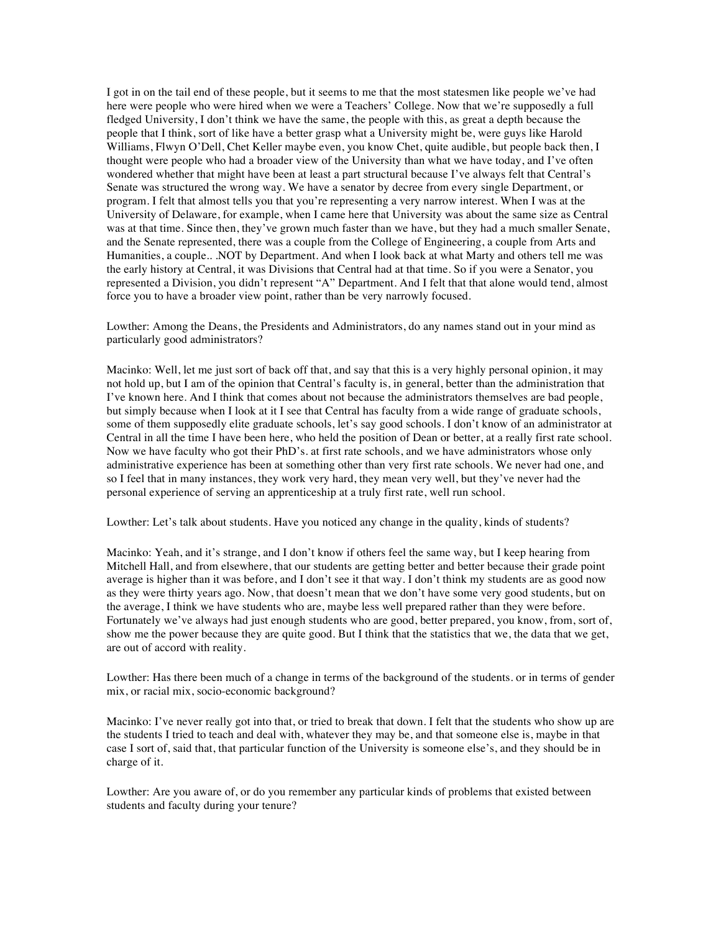I got in on the tail end of these people, but it seems to me that the most statesmen like people we've had here were people who were hired when we were a Teachers' College. Now that we're supposedly a full fledged University, I don't think we have the same, the people with this, as great a depth because the people that I think, sort of like have a better grasp what a University might be, were guys like Harold Williams, Flwyn O'Dell, Chet Keller maybe even, you know Chet, quite audible, but people back then, I thought were people who had a broader view of the University than what we have today, and I've often wondered whether that might have been at least a part structural because I've always felt that Central's Senate was structured the wrong way. We have a senator by decree from every single Department, or program. I felt that almost tells you that you're representing a very narrow interest. When I was at the University of Delaware, for example, when I came here that University was about the same size as Central was at that time. Since then, they've grown much faster than we have, but they had a much smaller Senate, and the Senate represented, there was a couple from the College of Engineering, a couple from Arts and Humanities, a couple.. .NOT by Department. And when I look back at what Marty and others tell me was the early history at Central, it was Divisions that Central had at that time. So if you were a Senator, you represented a Division, you didn't represent "A" Department. And I felt that that alone would tend, almost force you to have a broader view point, rather than be very narrowly focused.

Lowther: Among the Deans, the Presidents and Administrators, do any names stand out in your mind as particularly good administrators?

Macinko: Well, let me just sort of back off that, and say that this is a very highly personal opinion, it may not hold up, but I am of the opinion that Central's faculty is, in general, better than the administration that I've known here. And I think that comes about not because the administrators themselves are bad people, but simply because when I look at it I see that Central has faculty from a wide range of graduate schools, some of them supposedly elite graduate schools, let's say good schools. I don't know of an administrator at Central in all the time I have been here, who held the position of Dean or better, at a really first rate school. Now we have faculty who got their PhD's. at first rate schools, and we have administrators whose only administrative experience has been at something other than very first rate schools. We never had one, and so I feel that in many instances, they work very hard, they mean very well, but they've never had the personal experience of serving an apprenticeship at a truly first rate, well run school.

Lowther: Let's talk about students. Have you noticed any change in the quality, kinds of students?

Macinko: Yeah, and it's strange, and I don't know if others feel the same way, but I keep hearing from Mitchell Hall, and from elsewhere, that our students are getting better and better because their grade point average is higher than it was before, and I don't see it that way. I don't think my students are as good now as they were thirty years ago. Now, that doesn't mean that we don't have some very good students, but on the average, I think we have students who are, maybe less well prepared rather than they were before. Fortunately we've always had just enough students who are good, better prepared, you know, from, sort of, show me the power because they are quite good. But I think that the statistics that we, the data that we get, are out of accord with reality.

Lowther: Has there been much of a change in terms of the background of the students. or in terms of gender mix, or racial mix, socio-economic background?

Macinko: I've never really got into that, or tried to break that down. I felt that the students who show up are the students I tried to teach and deal with, whatever they may be, and that someone else is, maybe in that case I sort of, said that, that particular function of the University is someone else's, and they should be in charge of it.

Lowther: Are you aware of, or do you remember any particular kinds of problems that existed between students and faculty during your tenure?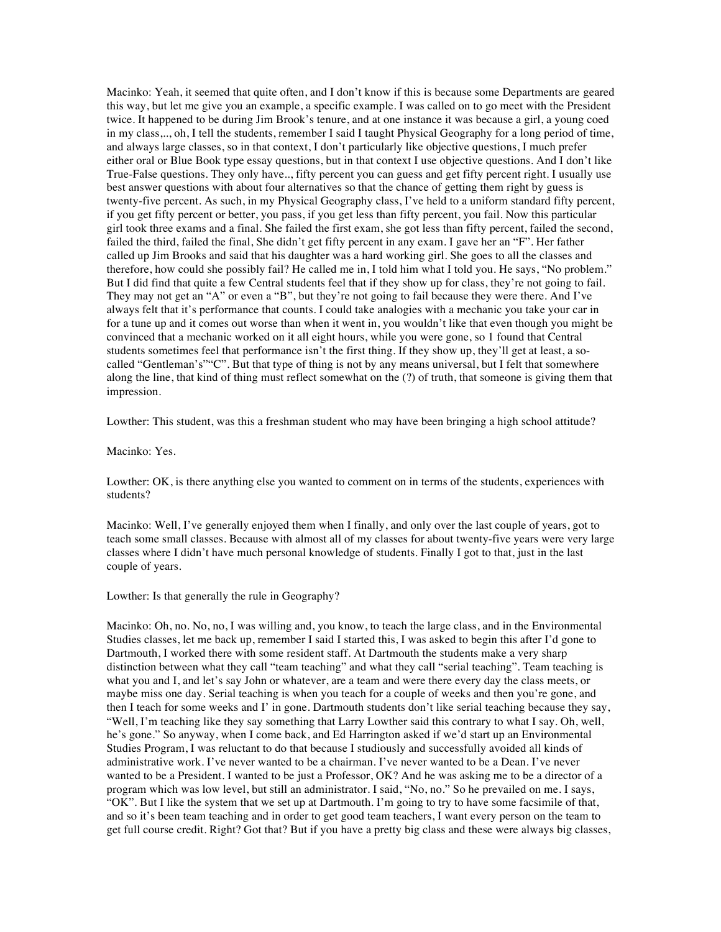Macinko: Yeah, it seemed that quite often, and I don't know if this is because some Departments are geared this way, but let me give you an example, a specific example. I was called on to go meet with the President twice. It happened to be during Jim Brook's tenure, and at one instance it was because a girl, a young coed in my class,.., oh, I tell the students, remember I said I taught Physical Geography for a long period of time, and always large classes, so in that context, I don't particularly like objective questions, I much prefer either oral or Blue Book type essay questions, but in that context I use objective questions. And I don't like True-False questions. They only have.., fifty percent you can guess and get fifty percent right. I usually use best answer questions with about four alternatives so that the chance of getting them right by guess is twenty-five percent. As such, in my Physical Geography class, I've held to a uniform standard fifty percent, if you get fifty percent or better, you pass, if you get less than fifty percent, you fail. Now this particular girl took three exams and a final. She failed the first exam, she got less than fifty percent, failed the second, failed the third, failed the final, She didn't get fifty percent in any exam. I gave her an "F". Her father called up Jim Brooks and said that his daughter was a hard working girl. She goes to all the classes and therefore, how could she possibly fail? He called me in, I told him what I told you. He says, "No problem." But I did find that quite a few Central students feel that if they show up for class, they're not going to fail. They may not get an "A" or even a "B", but they're not going to fail because they were there. And I've always felt that it's performance that counts. I could take analogies with a mechanic you take your car in for a tune up and it comes out worse than when it went in, you wouldn't like that even though you might be convinced that a mechanic worked on it all eight hours, while you were gone, so 1 found that Central students sometimes feel that performance isn't the first thing. If they show up, they'll get at least, a socalled "Gentleman's""C". But that type of thing is not by any means universal, but I felt that somewhere along the line, that kind of thing must reflect somewhat on the (?) of truth, that someone is giving them that impression.

Lowther: This student, was this a freshman student who may have been bringing a high school attitude?

Macinko: Yes.

Lowther: OK, is there anything else you wanted to comment on in terms of the students, experiences with students?

Macinko: Well, I've generally enjoyed them when I finally, and only over the last couple of years, got to teach some small classes. Because with almost all of my classes for about twenty-five years were very large classes where I didn't have much personal knowledge of students. Finally I got to that, just in the last couple of years.

# Lowther: Is that generally the rule in Geography?

Macinko: Oh, no. No, no, I was willing and, you know, to teach the large class, and in the Environmental Studies classes, let me back up, remember I said I started this, I was asked to begin this after I'd gone to Dartmouth, I worked there with some resident staff. At Dartmouth the students make a very sharp distinction between what they call "team teaching" and what they call "serial teaching". Team teaching is what you and I, and let's say John or whatever, are a team and were there every day the class meets, or maybe miss one day. Serial teaching is when you teach for a couple of weeks and then you're gone, and then I teach for some weeks and I' in gone. Dartmouth students don't like serial teaching because they say, "Well, I'm teaching like they say something that Larry Lowther said this contrary to what I say. Oh, well, he's gone." So anyway, when I come back, and Ed Harrington asked if we'd start up an Environmental Studies Program, I was reluctant to do that because I studiously and successfully avoided all kinds of administrative work. I've never wanted to be a chairman. I've never wanted to be a Dean. I've never wanted to be a President. I wanted to be just a Professor, OK? And he was asking me to be a director of a program which was low level, but still an administrator. I said, "No, no." So he prevailed on me. I says, "OK". But I like the system that we set up at Dartmouth. I'm going to try to have some facsimile of that, and so it's been team teaching and in order to get good team teachers, I want every person on the team to get full course credit. Right? Got that? But if you have a pretty big class and these were always big classes,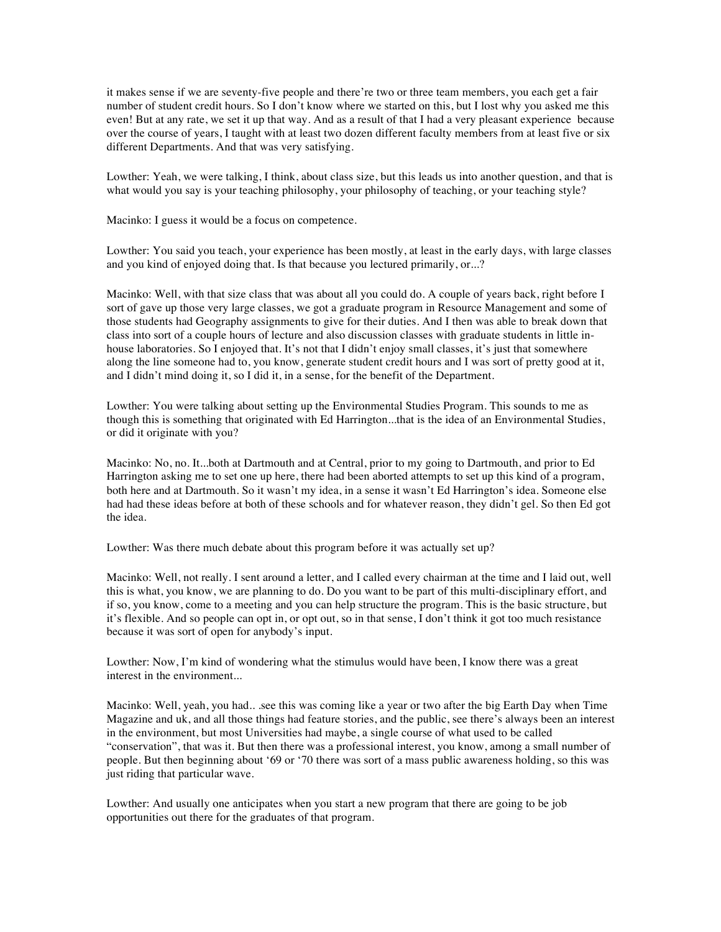it makes sense if we are seventy-five people and there're two or three team members, you each get a fair number of student credit hours. So I don't know where we started on this, but I lost why you asked me this even! But at any rate, we set it up that way. And as a result of that I had a very pleasant experience because over the course of years, I taught with at least two dozen different faculty members from at least five or six different Departments. And that was very satisfying.

Lowther: Yeah, we were talking, I think, about class size, but this leads us into another question, and that is what would you say is your teaching philosophy, your philosophy of teaching, or your teaching style?

Macinko: I guess it would be a focus on competence.

Lowther: You said you teach, your experience has been mostly, at least in the early days, with large classes and you kind of enjoyed doing that. Is that because you lectured primarily, or...?

Macinko: Well, with that size class that was about all you could do. A couple of years back, right before I sort of gave up those very large classes, we got a graduate program in Resource Management and some of those students had Geography assignments to give for their duties. And I then was able to break down that class into sort of a couple hours of lecture and also discussion classes with graduate students in little inhouse laboratories. So I enjoyed that. It's not that I didn't enjoy small classes, it's just that somewhere along the line someone had to, you know, generate student credit hours and I was sort of pretty good at it, and I didn't mind doing it, so I did it, in a sense, for the benefit of the Department.

Lowther: You were talking about setting up the Environmental Studies Program. This sounds to me as though this is something that originated with Ed Harrington...that is the idea of an Environmental Studies, or did it originate with you?

Macinko: No, no. It...both at Dartmouth and at Central, prior to my going to Dartmouth, and prior to Ed Harrington asking me to set one up here, there had been aborted attempts to set up this kind of a program, both here and at Dartmouth. So it wasn't my idea, in a sense it wasn't Ed Harrington's idea. Someone else had had these ideas before at both of these schools and for whatever reason, they didn't gel. So then Ed got the idea.

Lowther: Was there much debate about this program before it was actually set up?

Macinko: Well, not really. I sent around a letter, and I called every chairman at the time and I laid out, well this is what, you know, we are planning to do. Do you want to be part of this multi-disciplinary effort, and if so, you know, come to a meeting and you can help structure the program. This is the basic structure, but it's flexible. And so people can opt in, or opt out, so in that sense, I don't think it got too much resistance because it was sort of open for anybody's input.

Lowther: Now, I'm kind of wondering what the stimulus would have been, I know there was a great interest in the environment...

Macinko: Well, yeah, you had.. .see this was coming like a year or two after the big Earth Day when Time Magazine and uk, and all those things had feature stories, and the public, see there's always been an interest in the environment, but most Universities had maybe, a single course of what used to be called "conservation", that was it. But then there was a professional interest, you know, among a small number of people. But then beginning about '69 or '70 there was sort of a mass public awareness holding, so this was just riding that particular wave.

Lowther: And usually one anticipates when you start a new program that there are going to be job opportunities out there for the graduates of that program.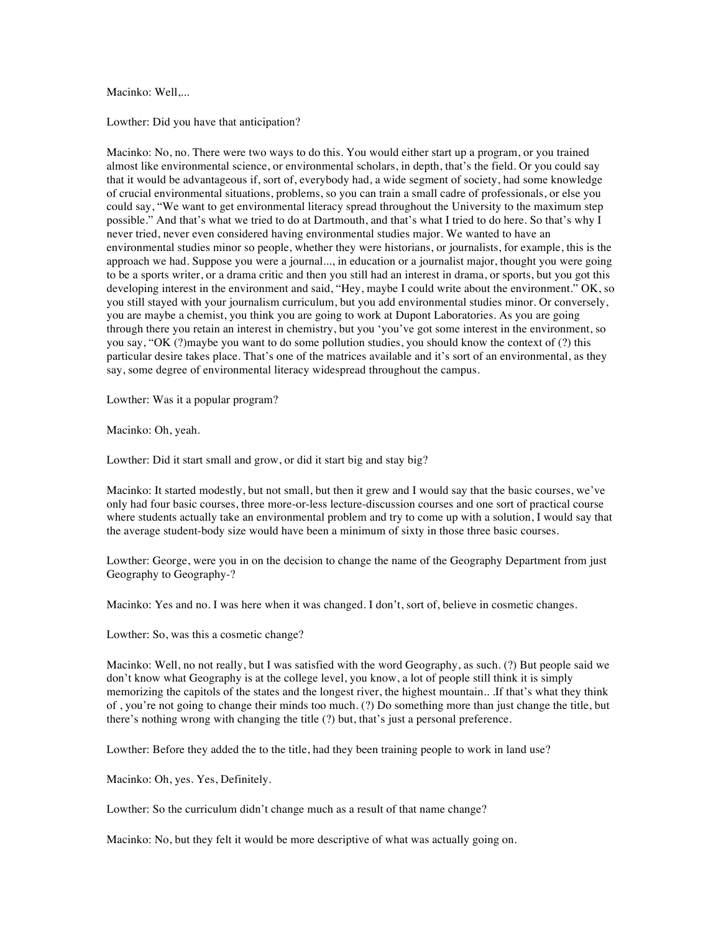#### Macinko: Well,...

Lowther: Did you have that anticipation?

Macinko: No, no. There were two ways to do this. You would either start up a program, or you trained almost like environmental science, or environmental scholars, in depth, that's the field. Or you could say that it would be advantageous if, sort of, everybody had, a wide segment of society, had some knowledge of crucial environmental situations, problems, so you can train a small cadre of professionals, or else you could say, "We want to get environmental literacy spread throughout the University to the maximum step possible." And that's what we tried to do at Dartmouth, and that's what I tried to do here. So that's why I never tried, never even considered having environmental studies major. We wanted to have an environmental studies minor so people, whether they were historians, or journalists, for example, this is the approach we had. Suppose you were a journal..., in education or a journalist major, thought you were going to be a sports writer, or a drama critic and then you still had an interest in drama, or sports, but you got this developing interest in the environment and said, "Hey, maybe I could write about the environment." OK, so you still stayed with your journalism curriculum, but you add environmental studies minor. Or conversely, you are maybe a chemist, you think you are going to work at Dupont Laboratories. As you are going through there you retain an interest in chemistry, but you 'you've got some interest in the environment, so you say, "OK (?)maybe you want to do some pollution studies, you should know the context of (?) this particular desire takes place. That's one of the matrices available and it's sort of an environmental, as they say, some degree of environmental literacy widespread throughout the campus.

Lowther: Was it a popular program?

Macinko: Oh, yeah.

Lowther: Did it start small and grow, or did it start big and stay big?

Macinko: It started modestly, but not small, but then it grew and I would say that the basic courses, we've only had four basic courses, three more-or-less lecture-discussion courses and one sort of practical course where students actually take an environmental problem and try to come up with a solution, I would say that the average student-body size would have been a minimum of sixty in those three basic courses.

Lowther: George, were you in on the decision to change the name of the Geography Department from just Geography to Geography-?

Macinko: Yes and no. I was here when it was changed. I don't, sort of, believe in cosmetic changes.

Lowther: So, was this a cosmetic change?

Macinko: Well, no not really, but I was satisfied with the word Geography, as such. (?) But people said we don't know what Geography is at the college level, you know, a lot of people still think it is simply memorizing the capitols of the states and the longest river, the highest mountain.. .If that's what they think of , you're not going to change their minds too much. (?) Do something more than just change the title, but there's nothing wrong with changing the title (?) but, that's just a personal preference.

Lowther: Before they added the to the title, had they been training people to work in land use?

Macinko: Oh, yes. Yes, Definitely.

Lowther: So the curriculum didn't change much as a result of that name change?

Macinko: No, but they felt it would be more descriptive of what was actually going on.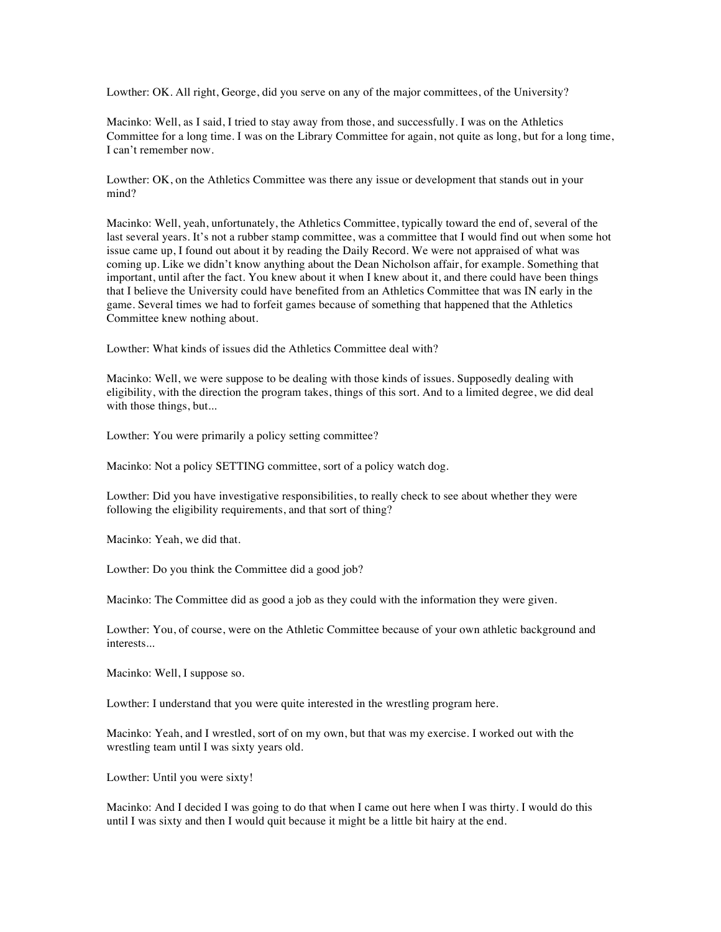Lowther: OK. All right, George, did you serve on any of the major committees, of the University?

Macinko: Well, as I said, I tried to stay away from those, and successfully. I was on the Athletics Committee for a long time. I was on the Library Committee for again, not quite as long, but for a long time, I can't remember now.

Lowther: OK, on the Athletics Committee was there any issue or development that stands out in your mind?

Macinko: Well, yeah, unfortunately, the Athletics Committee, typically toward the end of, several of the last several years. It's not a rubber stamp committee, was a committee that I would find out when some hot issue came up, I found out about it by reading the Daily Record. We were not appraised of what was coming up. Like we didn't know anything about the Dean Nicholson affair, for example. Something that important, until after the fact. You knew about it when I knew about it, and there could have been things that I believe the University could have benefited from an Athletics Committee that was IN early in the game. Several times we had to forfeit games because of something that happened that the Athletics Committee knew nothing about.

Lowther: What kinds of issues did the Athletics Committee deal with?

Macinko: Well, we were suppose to be dealing with those kinds of issues. Supposedly dealing with eligibility, with the direction the program takes, things of this sort. And to a limited degree, we did deal with those things, but...

Lowther: You were primarily a policy setting committee?

Macinko: Not a policy SETTING committee, sort of a policy watch dog.

Lowther: Did you have investigative responsibilities, to really check to see about whether they were following the eligibility requirements, and that sort of thing?

Macinko: Yeah, we did that.

Lowther: Do you think the Committee did a good job?

Macinko: The Committee did as good a job as they could with the information they were given.

Lowther: You, of course, were on the Athletic Committee because of your own athletic background and interests...

Macinko: Well, I suppose so.

Lowther: I understand that you were quite interested in the wrestling program here.

Macinko: Yeah, and I wrestled, sort of on my own, but that was my exercise. I worked out with the wrestling team until I was sixty years old.

Lowther: Until you were sixty!

Macinko: And I decided I was going to do that when I came out here when I was thirty. I would do this until I was sixty and then I would quit because it might be a little bit hairy at the end.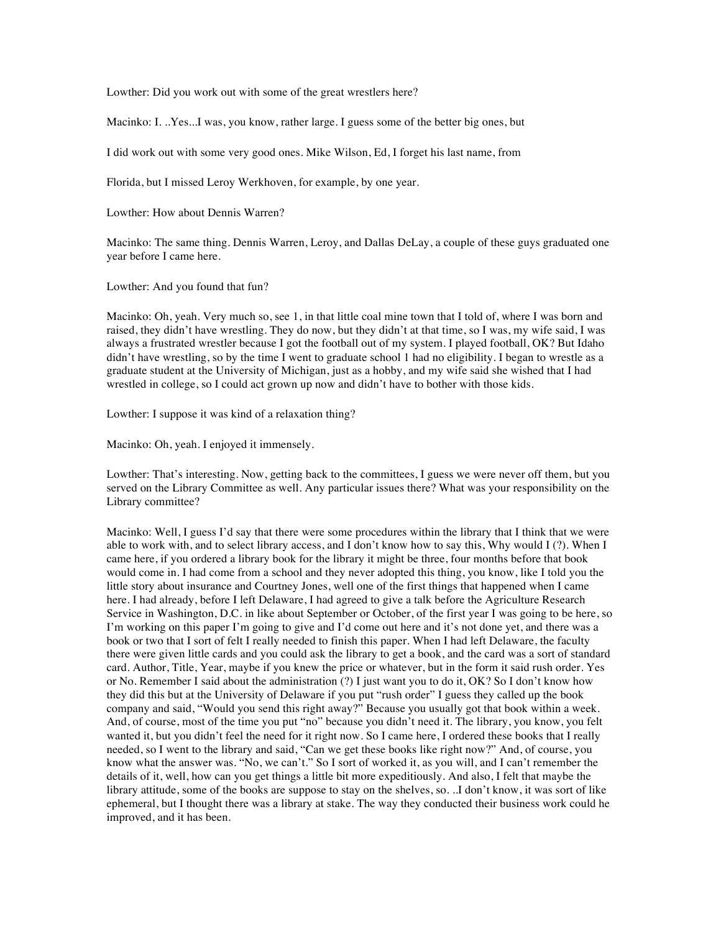Lowther: Did you work out with some of the great wrestlers here?

Macinko: I. ..Yes...I was, you know, rather large. I guess some of the better big ones, but

I did work out with some very good ones. Mike Wilson, Ed, I forget his last name, from

Florida, but I missed Leroy Werkhoven, for example, by one year.

Lowther: How about Dennis Warren?

Macinko: The same thing. Dennis Warren, Leroy, and Dallas DeLay, a couple of these guys graduated one year before I came here.

Lowther: And you found that fun?

Macinko: Oh, yeah. Very much so, see 1, in that little coal mine town that I told of, where I was born and raised, they didn't have wrestling. They do now, but they didn't at that time, so I was, my wife said, I was always a frustrated wrestler because I got the football out of my system. I played football, OK? But Idaho didn't have wrestling, so by the time I went to graduate school 1 had no eligibility. I began to wrestle as a graduate student at the University of Michigan, just as a hobby, and my wife said she wished that I had wrestled in college, so I could act grown up now and didn't have to bother with those kids.

Lowther: I suppose it was kind of a relaxation thing?

Macinko: Oh, yeah. I enjoyed it immensely.

Lowther: That's interesting. Now, getting back to the committees, I guess we were never off them, but you served on the Library Committee as well. Any particular issues there? What was your responsibility on the Library committee?

Macinko: Well, I guess I'd say that there were some procedures within the library that I think that we were able to work with, and to select library access, and I don't know how to say this, Why would I (?). When I came here, if you ordered a library book for the library it might be three, four months before that book would come in. I had come from a school and they never adopted this thing, you know, like I told you the little story about insurance and Courtney Jones, well one of the first things that happened when I came here. I had already, before I left Delaware, I had agreed to give a talk before the Agriculture Research Service in Washington, D.C. in like about September or October, of the first year I was going to be here, so I'm working on this paper I'm going to give and I'd come out here and it's not done yet, and there was a book or two that I sort of felt I really needed to finish this paper. When I had left Delaware, the faculty there were given little cards and you could ask the library to get a book, and the card was a sort of standard card. Author, Title, Year, maybe if you knew the price or whatever, but in the form it said rush order. Yes or No. Remember I said about the administration (?) I just want you to do it, OK? So I don't know how they did this but at the University of Delaware if you put "rush order" I guess they called up the book company and said, "Would you send this right away?" Because you usually got that book within a week. And, of course, most of the time you put "no" because you didn't need it. The library, you know, you felt wanted it, but you didn't feel the need for it right now. So I came here, I ordered these books that I really needed, so I went to the library and said, "Can we get these books like right now?" And, of course, you know what the answer was. "No, we can't." So I sort of worked it, as you will, and I can't remember the details of it, well, how can you get things a little bit more expeditiously. And also, I felt that maybe the library attitude, some of the books are suppose to stay on the shelves, so. ..I don't know, it was sort of like ephemeral, but I thought there was a library at stake. The way they conducted their business work could he improved, and it has been.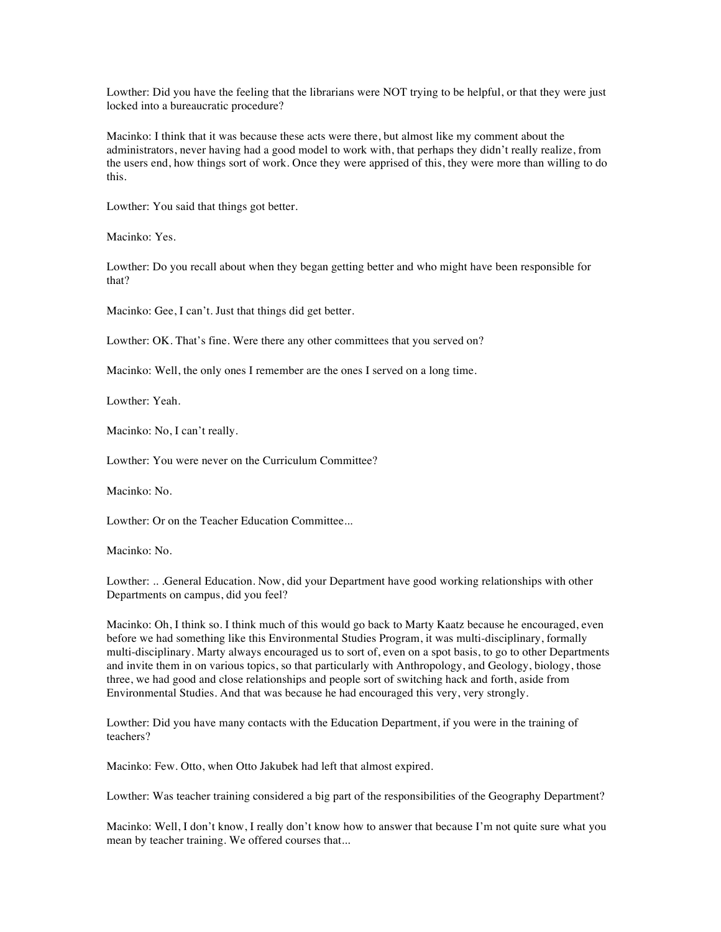Lowther: Did you have the feeling that the librarians were NOT trying to be helpful, or that they were just locked into a bureaucratic procedure?

Macinko: I think that it was because these acts were there, but almost like my comment about the administrators, never having had a good model to work with, that perhaps they didn't really realize, from the users end, how things sort of work. Once they were apprised of this, they were more than willing to do this.

Lowther: You said that things got better.

Macinko: Yes.

Lowther: Do you recall about when they began getting better and who might have been responsible for that?

Macinko: Gee, I can't. Just that things did get better.

Lowther: OK. That's fine. Were there any other committees that you served on?

Macinko: Well, the only ones I remember are the ones I served on a long time.

Lowther: Yeah.

Macinko: No, I can't really.

Lowther: You were never on the Curriculum Committee?

Macinko: No.

Lowther: Or on the Teacher Education Committee...

Macinko: No.

Lowther: .. .General Education. Now, did your Department have good working relationships with other Departments on campus, did you feel?

Macinko: Oh, I think so. I think much of this would go back to Marty Kaatz because he encouraged, even before we had something like this Environmental Studies Program, it was multi-disciplinary, formally multi-disciplinary. Marty always encouraged us to sort of, even on a spot basis, to go to other Departments and invite them in on various topics, so that particularly with Anthropology, and Geology, biology, those three, we had good and close relationships and people sort of switching hack and forth, aside from Environmental Studies. And that was because he had encouraged this very, very strongly.

Lowther: Did you have many contacts with the Education Department, if you were in the training of teachers?

Macinko: Few. Otto, when Otto Jakubek had left that almost expired.

Lowther: Was teacher training considered a big part of the responsibilities of the Geography Department?

Macinko: Well, I don't know, I really don't know how to answer that because I'm not quite sure what you mean by teacher training. We offered courses that...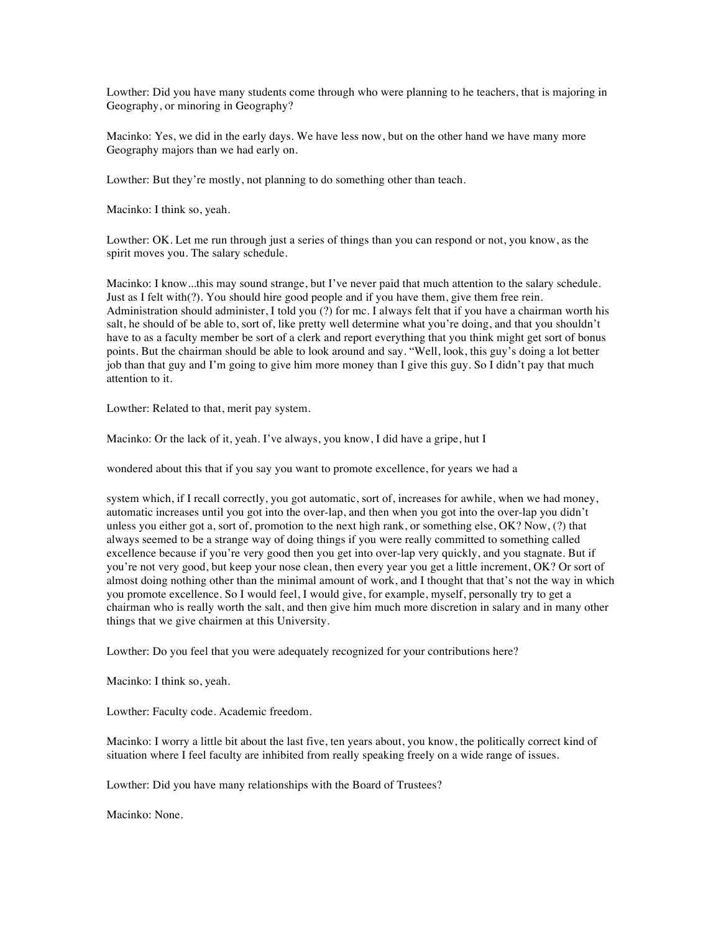Lowther: Did you have many students come through who were planning to he teachers, that is majoring in Geography, or minoring in Geography?

Macinko: Yes, we did in the early days. We have less now, but on the other hand we have many more Geography majors than we had early on.

Lowther: But they're mostly, not planning to do something other than teach.

Macinko: I think so, yeah.

Lowther: OK. Let me run through just a series of things than you can respond or not, you know, as the spirit moves you. The salary schedule.

Macinko: I know...this may sound strange, but I've never paid that much attention to the salary schedule. Just as I felt with(?). You should hire good people and if you have them, give them free rein. Administration should administer, I told you (?) for mc. I always felt that if you have a chairman worth his salt, he should of be able to, sort of, like pretty well determine what you're doing, and that you shouldn't have to as a faculty member be sort of a clerk and report everything that you think might get sort of bonus points. But the chairman should be able to look around and say. "Well, look, this guy's doing a lot better job than that guy and I'm going to give him more money than I give this guy. So I didn't pay that much attention to it.

Lowther: Related to that, merit pay system.

Macinko: Or the lack of it, yeah. I've always, you know, I did have a gripe, hut I

wondered about this that if you say you want to promote excellence, for years we had a

system which, if I recall correctly, you got automatic, sort of, increases for awhile, when we had money, automatic increases until you got into the over-lap, and then when you got into the over-lap you didn't unless you either got a, sort of, promotion to the next high rank, or something else, OK? Now, (?) that always seemed to be a strange way of doing things if you were really committed to something called excellence because if you're very good then you get into over-lap very quickly, and you stagnate. But if you're not very good, but keep your nose clean, then every year you get a little increment, OK? Or sort of almost doing nothing other than the minimal amount of work, and I thought that that's not the way in which you promote excellence. So I would feel, I would give, for example, myself, personally try to get a chairman who is really worth the salt, and then give him much more discretion in salary and in many other things that we give chairmen at this University.

Lowther: Do you feel that you were adequately recognized for your contributions here?

Macinko: I think so, yeah.

Lowther: Faculty code. Academic freedom.

Macinko: I worry a little bit about the last five, ten years about, you know, the politically correct kind of situation where I feel faculty are inhibited from really speaking freely on a wide range of issues.

Lowther: Did you have many relationships with the Board of Trustees?

Macinko: None.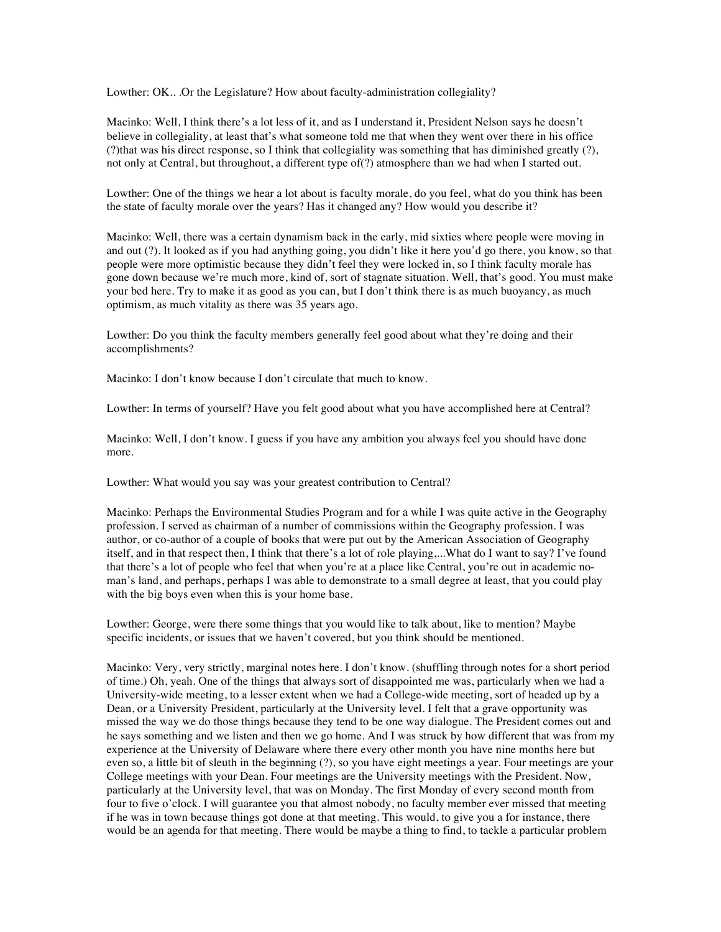Lowther: OK.. .Or the Legislature? How about faculty-administration collegiality?

Macinko: Well, I think there's a lot less of it, and as I understand it, President Nelson says he doesn't believe in collegiality, at least that's what someone told me that when they went over there in his office (?)that was his direct response, so I think that collegiality was something that has diminished greatly (?), not only at Central, but throughout, a different type of(?) atmosphere than we had when I started out.

Lowther: One of the things we hear a lot about is faculty morale, do you feel, what do you think has been the state of faculty morale over the years? Has it changed any? How would you describe it?

Macinko: Well, there was a certain dynamism back in the early, mid sixties where people were moving in and out (?). It looked as if you had anything going, you didn't like it here you'd go there, you know, so that people were more optimistic because they didn't feel they were locked in, so I think faculty morale has gone down because we're much more, kind of, sort of stagnate situation. Well, that's good. You must make your bed here. Try to make it as good as you can, but I don't think there is as much buoyancy, as much optimism, as much vitality as there was 35 years ago.

Lowther: Do you think the faculty members generally feel good about what they're doing and their accomplishments?

Macinko: I don't know because I don't circulate that much to know.

Lowther: In terms of yourself? Have you felt good about what you have accomplished here at Central?

Macinko: Well, I don't know. I guess if you have any ambition you always feel you should have done more.

Lowther: What would you say was your greatest contribution to Central?

Macinko: Perhaps the Environmental Studies Program and for a while I was quite active in the Geography profession. I served as chairman of a number of commissions within the Geography profession. I was author, or co-author of a couple of books that were put out by the American Association of Geography itself, and in that respect then, I think that there's a lot of role playing,...What do I want to say? I've found that there's a lot of people who feel that when you're at a place like Central, you're out in academic noman's land, and perhaps, perhaps I was able to demonstrate to a small degree at least, that you could play with the big boys even when this is your home base.

Lowther: George, were there some things that you would like to talk about, like to mention? Maybe specific incidents, or issues that we haven't covered, but you think should be mentioned.

Macinko: Very, very strictly, marginal notes here. I don't know. (shuffling through notes for a short period of time.) Oh, yeah. One of the things that always sort of disappointed me was, particularly when we had a University-wide meeting, to a lesser extent when we had a College-wide meeting, sort of headed up by a Dean, or a University President, particularly at the University level. I felt that a grave opportunity was missed the way we do those things because they tend to be one way dialogue. The President comes out and he says something and we listen and then we go home. And I was struck by how different that was from my experience at the University of Delaware where there every other month you have nine months here but even so, a little bit of sleuth in the beginning (?), so you have eight meetings a year. Four meetings are your College meetings with your Dean. Four meetings are the University meetings with the President. Now, particularly at the University level, that was on Monday. The first Monday of every second month from four to five o'clock. I will guarantee you that almost nobody, no faculty member ever missed that meeting if he was in town because things got done at that meeting. This would, to give you a for instance, there would be an agenda for that meeting. There would be maybe a thing to find, to tackle a particular problem